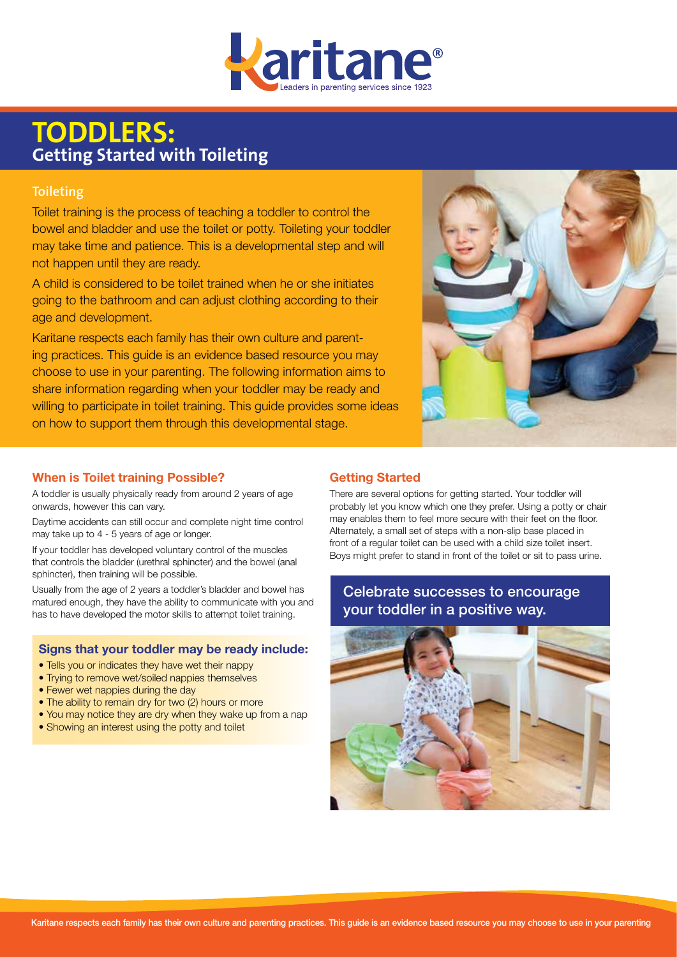

# **TODDLERS:**<br>Getting Started with To **Getting Started with Toileting**

## **Toileting**

Toilet training is the process of teaching a toddler to control the bowel and bladder and use the toilet or potty. Toileting your toddler may take time and patience. This is a developmental step and will not happen until they are ready.

A child is considered to be toilet trained when he or she initiates going to the bathroom and can adjust clothing according to their age and development.

Karitane respects each family has their own culture and parenting practices. This guide is an evidence based resource you may choose to use in your parenting. The following information aims to share information regarding when your toddler may be ready and willing to participate in toilet training. This guide provides some ideas on how to support them through this developmental stage.



#### **When is Toilet training Possible?**

A toddler is usually physically ready from around 2 years of age onwards, however this can vary.

Daytime accidents can still occur and complete night time control may take up to 4 - 5 years of age or longer.

If your toddler has developed voluntary control of the muscles that controls the bladder (urethral sphincter) and the bowel (anal sphincter), then training will be possible.

Usually from the age of 2 years a toddler's bladder and bowel has matured enough, they have the ability to communicate with you and has to have developed the motor skills to attempt toilet training.

### **Signs that your toddler may be ready include:**

- Tells you or indicates they have wet their nappy
- Trying to remove wet/soiled nappies themselves
- Fewer wet nappies during the day
- The ability to remain dry for two (2) hours or more
- You may notice they are dry when they wake up from a nap
- Showing an interest using the potty and toilet

## **Getting Started**

There are several options for getting started. Your toddler will probably let you know which one they prefer. Using a potty or chair may enables them to feel more secure with their feet on the floor. Alternately, a small set of steps with a non-slip base placed in front of a regular toilet can be used with a child size toilet insert. Boys might prefer to stand in front of the toilet or sit to pass urine.

## Celebrate successes to encourage your toddler in a positive way.